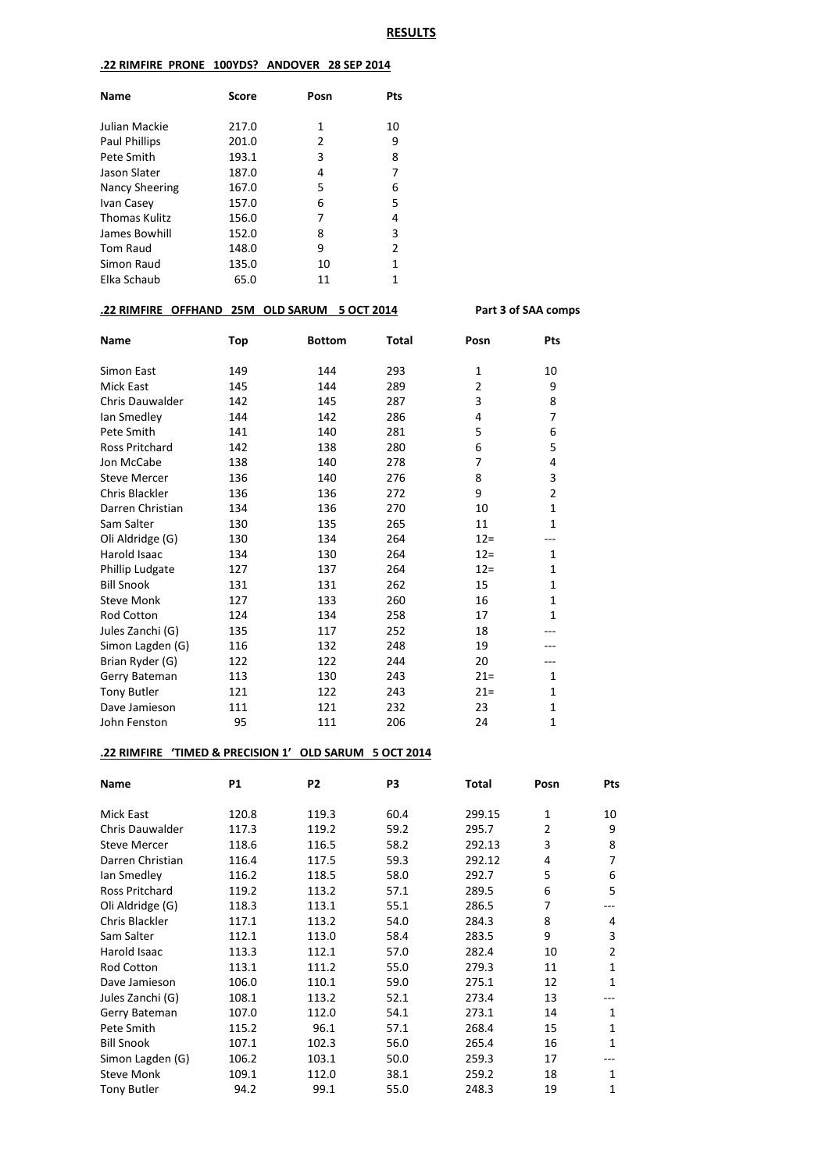#### **.22 RIMFIRE PRONE 100YDS? ANDOVER 28 SEP 2014**

| <b>Name</b>          | Score | Posn | Pts |
|----------------------|-------|------|-----|
| Julian Mackie        | 217.0 | 1    | 10  |
| <b>Paul Phillips</b> | 201.0 | 2    | 9   |
| Pete Smith           | 193.1 | 3    | 8   |
| Jason Slater         | 187.0 | 4    | 7   |
| Nancy Sheering       | 167.0 | 5    | 6   |
| Ivan Casey           | 157.0 | 6    | 5   |
| <b>Thomas Kulitz</b> | 156.0 | 7    | 4   |
| James Bowhill        | 152.0 | 8    | 3   |
| <b>Tom Raud</b>      | 148.0 | 9    | 2   |
| Simon Raud           | 135.0 | 10   | 1   |
| Elka Schaub          | 65.0  | 11   | 1   |

## **.22 RIMFIRE OFFHAND 25M OLD SARUM 5 OCT 2014 Part 3 of SAA comps**

| <b>Name</b>            | Top | <b>Bottom</b> | Total | Posn           | Pts            |
|------------------------|-----|---------------|-------|----------------|----------------|
| Simon East             | 149 | 144           | 293   | $\mathbf{1}$   | 10             |
| <b>Mick East</b>       | 145 | 144           | 289   | $\overline{2}$ | 9              |
| <b>Chris Dauwalder</b> | 142 | 145           | 287   | 3              | 8              |
| Ian Smedley            | 144 | 142           | 286   | 4              | 7              |
| Pete Smith             | 141 | 140           | 281   | 5              | 6              |
| <b>Ross Pritchard</b>  | 142 | 138           | 280   | 6              | 5              |
| Jon McCabe             | 138 | 140           | 278   | 7              | 4              |
| <b>Steve Mercer</b>    | 136 | 140           | 276   | 8              | 3              |
| Chris Blackler         | 136 | 136           | 272   | 9              | $\overline{2}$ |
| Darren Christian       | 134 | 136           | 270   | 10             | $\mathbf{1}$   |
| Sam Salter             | 130 | 135           | 265   | 11             | $\mathbf{1}$   |
| Oli Aldridge (G)       | 130 | 134           | 264   | $12 =$         |                |
| Harold Isaac           | 134 | 130           | 264   | $12 =$         | $\mathbf{1}$   |
| Phillip Ludgate        | 127 | 137           | 264   | $12 =$         | $\mathbf{1}$   |
| <b>Bill Snook</b>      | 131 | 131           | 262   | 15             | $\mathbf{1}$   |
| <b>Steve Monk</b>      | 127 | 133           | 260   | 16             | $\mathbf{1}$   |
| <b>Rod Cotton</b>      | 124 | 134           | 258   | 17             | $\mathbf{1}$   |
| Jules Zanchi (G)       | 135 | 117           | 252   | 18             |                |
| Simon Lagden (G)       | 116 | 132           | 248   | 19             |                |
| Brian Ryder (G)        | 122 | 122           | 244   | 20             |                |
| Gerry Bateman          | 113 | 130           | 243   | $21 =$         | $\mathbf{1}$   |
| <b>Tony Butler</b>     | 121 | 122           | 243   | $21 =$         | 1              |
| Dave Jamieson          | 111 | 121           | 232   | 23             | $\mathbf{1}$   |
| John Fenston           | 95  | 111           | 206   | 24             | $\mathbf{1}$   |

## **.22 RIMFIRE 'TIMED & PRECISION 1' OLD SARUM 5 OCT 2014**

| Name                   | <b>P1</b> | P <sub>2</sub> | P3   | Total  | Posn | Pts |
|------------------------|-----------|----------------|------|--------|------|-----|
| Mick East              | 120.8     | 119.3          | 60.4 | 299.15 | 1    | 10  |
| <b>Chris Dauwalder</b> | 117.3     | 119.2          | 59.2 | 295.7  | 2    | 9   |
| <b>Steve Mercer</b>    | 118.6     | 116.5          | 58.2 | 292.13 | 3    | 8   |
| Darren Christian       | 116.4     | 117.5          | 59.3 | 292.12 | 4    | 7   |
| lan Smedley            | 116.2     | 118.5          | 58.0 | 292.7  | 5    | 6   |
| <b>Ross Pritchard</b>  | 119.2     | 113.2          | 57.1 | 289.5  | 6    | 5   |
| Oli Aldridge (G)       | 118.3     | 113.1          | 55.1 | 286.5  | 7    |     |
| Chris Blackler         | 117.1     | 113.2          | 54.0 | 284.3  | 8    | 4   |
| Sam Salter             | 112.1     | 113.0          | 58.4 | 283.5  | 9    | 3   |
| Harold Isaac           | 113.3     | 112.1          | 57.0 | 282.4  | 10   | 2   |
| <b>Rod Cotton</b>      | 113.1     | 111.2          | 55.0 | 279.3  | 11   | 1   |
| Dave Jamieson          | 106.0     | 110.1          | 59.0 | 275.1  | 12   | 1   |
| Jules Zanchi (G)       | 108.1     | 113.2          | 52.1 | 273.4  | 13   |     |
| Gerry Bateman          | 107.0     | 112.0          | 54.1 | 273.1  | 14   | 1   |
| Pete Smith             | 115.2     | 96.1           | 57.1 | 268.4  | 15   | 1   |
| <b>Bill Snook</b>      | 107.1     | 102.3          | 56.0 | 265.4  | 16   | 1   |
| Simon Lagden (G)       | 106.2     | 103.1          | 50.0 | 259.3  | 17   |     |
| <b>Steve Monk</b>      | 109.1     | 112.0          | 38.1 | 259.2  | 18   | 1   |
| Tony Butler            | 94.2      | 99.1           | 55.0 | 248.3  | 19   | 1   |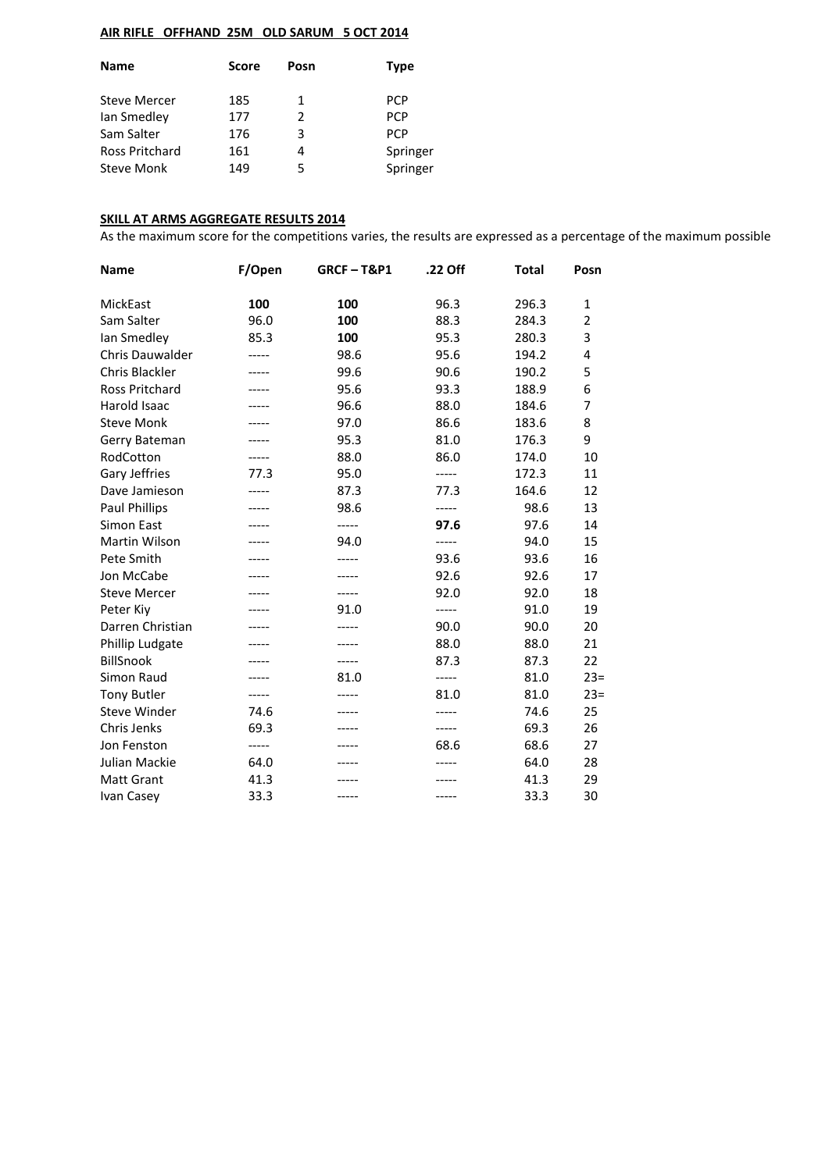# **AIR RIFLE OFFHAND 25M OLD SARUM 5 OCT 2014**

| <b>Name</b>         | Score | Posn | Type       |
|---------------------|-------|------|------------|
| <b>Steve Mercer</b> | 185   | 1    | <b>PCP</b> |
| Ian Smedley         | 177   | 2    | <b>PCP</b> |
| Sam Salter          | 176   | 3    | <b>PCP</b> |
| Ross Pritchard      | 161   | 4    | Springer   |
| <b>Steve Monk</b>   | 149   | 5    | Springer   |
|                     |       |      |            |

#### **SKILL AT ARMS AGGREGATE RESULTS 2014**

As the maximum score for the competitions varies, the results are expressed as a percentage of the maximum possible

| <b>Name</b>            | F/Open | <b>GRCF-T&amp;P1</b> | .22 Off | <b>Total</b> | Posn           |
|------------------------|--------|----------------------|---------|--------------|----------------|
| MickEast               | 100    | 100                  | 96.3    | 296.3        | 1              |
| Sam Salter             | 96.0   | 100                  | 88.3    | 284.3        | $\overline{2}$ |
| lan Smedley            | 85.3   | 100                  | 95.3    | 280.3        | 3              |
| <b>Chris Dauwalder</b> |        | 98.6                 | 95.6    | 194.2        | 4              |
| Chris Blackler         |        | 99.6                 | 90.6    | 190.2        | 5              |
| <b>Ross Pritchard</b>  |        | 95.6                 | 93.3    | 188.9        | 6              |
| Harold Isaac           |        | 96.6                 | 88.0    | 184.6        | 7              |
| <b>Steve Monk</b>      | -----  | 97.0                 | 86.6    | 183.6        | 8              |
| Gerry Bateman          | -----  | 95.3                 | 81.0    | 176.3        | 9              |
| RodCotton              |        | 88.0                 | 86.0    | 174.0        | 10             |
| Gary Jeffries          | 77.3   | 95.0                 | -----   | 172.3        | 11             |
| Dave Jamieson          | -----  | 87.3                 | 77.3    | 164.6        | 12             |
| <b>Paul Phillips</b>   |        | 98.6                 | -----   | 98.6         | 13             |
| Simon East             |        | -----                | 97.6    | 97.6         | 14             |
| Martin Wilson          | -----  | 94.0                 | -----   | 94.0         | 15             |
| Pete Smith             |        | -----                | 93.6    | 93.6         | 16             |
| Jon McCabe             |        |                      | 92.6    | 92.6         | 17             |
| <b>Steve Mercer</b>    |        | -----                | 92.0    | 92.0         | 18             |
| Peter Kiy              |        | 91.0                 | -----   | 91.0         | 19             |
| Darren Christian       |        |                      | 90.0    | 90.0         | 20             |
| Phillip Ludgate        |        | -----                | 88.0    | 88.0         | 21             |
| <b>BillSnook</b>       |        | -----                | 87.3    | 87.3         | 22             |
| Simon Raud             |        | 81.0                 | -----   | 81.0         | $23=$          |
| <b>Tony Butler</b>     | -----  | -----                | 81.0    | 81.0         | $23=$          |
| <b>Steve Winder</b>    | 74.6   |                      | -----   | 74.6         | 25             |
| Chris Jenks            | 69.3   |                      | -----   | 69.3         | 26             |
| Jon Fenston            | -----  | -----                | 68.6    | 68.6         | 27             |
| Julian Mackie          | 64.0   | -----                | -----   | 64.0         | 28             |
| <b>Matt Grant</b>      | 41.3   |                      |         | 41.3         | 29             |
| Ivan Casey             | 33.3   | -----                | -----   | 33.3         | 30             |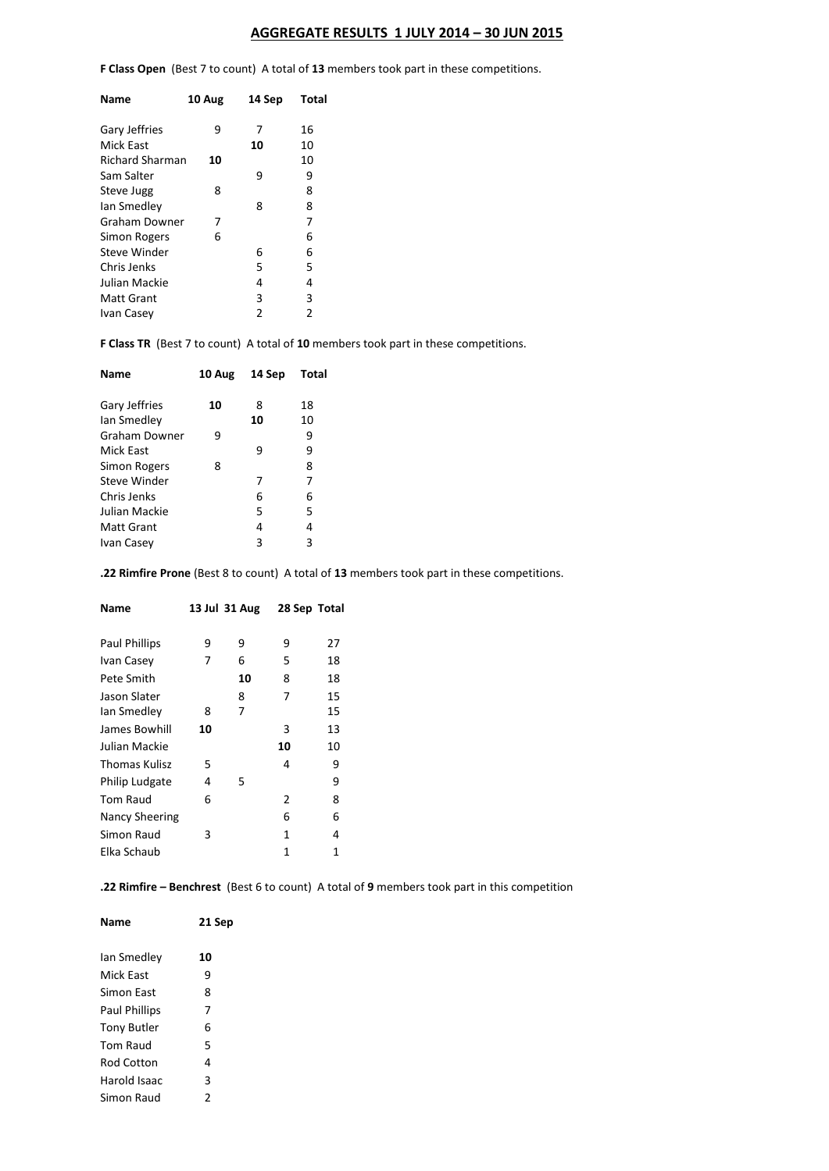## **AGGREGATE RESULTS 1 JULY 2014 – 30 JUN 2015**

**F Class Open** (Best 7 to count) A total of **13** members took part in these competitions.

| <b>Name</b>            | 10 Aug | 14 Sep         | Total |
|------------------------|--------|----------------|-------|
| Gary Jeffries          | 9      | 7              | 16    |
| Mick East              |        | 10             | 10    |
| <b>Richard Sharman</b> | 10     |                | 10    |
| Sam Salter             |        | 9              | 9     |
| <b>Steve Jugg</b>      | 8      |                | 8     |
| lan Smedley            |        | 8              | 8     |
| <b>Graham Downer</b>   | 7      |                | 7     |
| Simon Rogers           | 6      |                | 6     |
| Steve Winder           |        | 6              | 6     |
| Chris Jenks            |        | 5              | 5     |
| Julian Mackie          |        | 4              | 4     |
| <b>Matt Grant</b>      |        | 3              | 3     |
| Ivan Casey             |        | $\overline{2}$ | 2     |
|                        |        |                |       |

**F Class TR** (Best 7 to count) A total of **10** members took part in these competitions.

| Name              | 10 Aug | 14 Sep | Total |
|-------------------|--------|--------|-------|
| Gary Jeffries     | 10     | 8      | 18    |
| Ian Smedley       |        | 10     | 10    |
| Graham Downer     | 9      |        | 9     |
| Mick East         |        | 9      | 9     |
| Simon Rogers      | 8      |        | 8     |
| Steve Winder      |        | 7      | 7     |
| Chris Jenks       |        | 6      | 6     |
| Julian Mackie     |        | 5      | 5     |
| <b>Matt Grant</b> |        | 4      | 4     |
| Ivan Casey        |        | 3      | 3     |
|                   |        |        |       |

**.22 Rimfire Prone** (Best 8 to count) A total of **13** members took part in these competitions.

| Name                 | 13 Jul 31 Aug |    | 28 Sep Total  |    |
|----------------------|---------------|----|---------------|----|
| <b>Paul Phillips</b> | 9             | 9  | 9             | 27 |
| Ivan Casey           | 7             | 6  | 5             | 18 |
| Pete Smith           |               | 10 | 8             | 18 |
| Jason Slater         |               | 8  | 7             | 15 |
| lan Smedley          | 8             | 7  |               | 15 |
| James Bowhill        | 10            |    | 3             | 13 |
| Julian Mackie        |               |    | 10            | 10 |
| Thomas Kulisz        | 5             |    | 4             | 9  |
| Philip Ludgate       | 4             | 5  |               | 9  |
| Tom Raud             | 6             |    | $\mathcal{P}$ | 8  |
| Nancy Sheering       |               |    | 6             | 6  |
| Simon Raud           | 3             |    | 1             | 4  |
| Elka Schaub          |               |    | 1             | 1  |
|                      |               |    |               |    |

**.22 Rimfire – Benchrest** (Best 6 to count) A total of **9** members took part in this competition

| Name               | 21 Sep |
|--------------------|--------|
| Ian Smedlev        | 10     |
| Mick Fast          | ٩      |
| Simon East         | 8      |
| Paul Phillips      | 7      |
| <b>Tony Butler</b> | 6      |
| <b>Tom Raud</b>    | 5      |
| Rod Cotton         | 4      |
| Harold Isaac       | 3      |
| Simon Raud         | 2      |
|                    |        |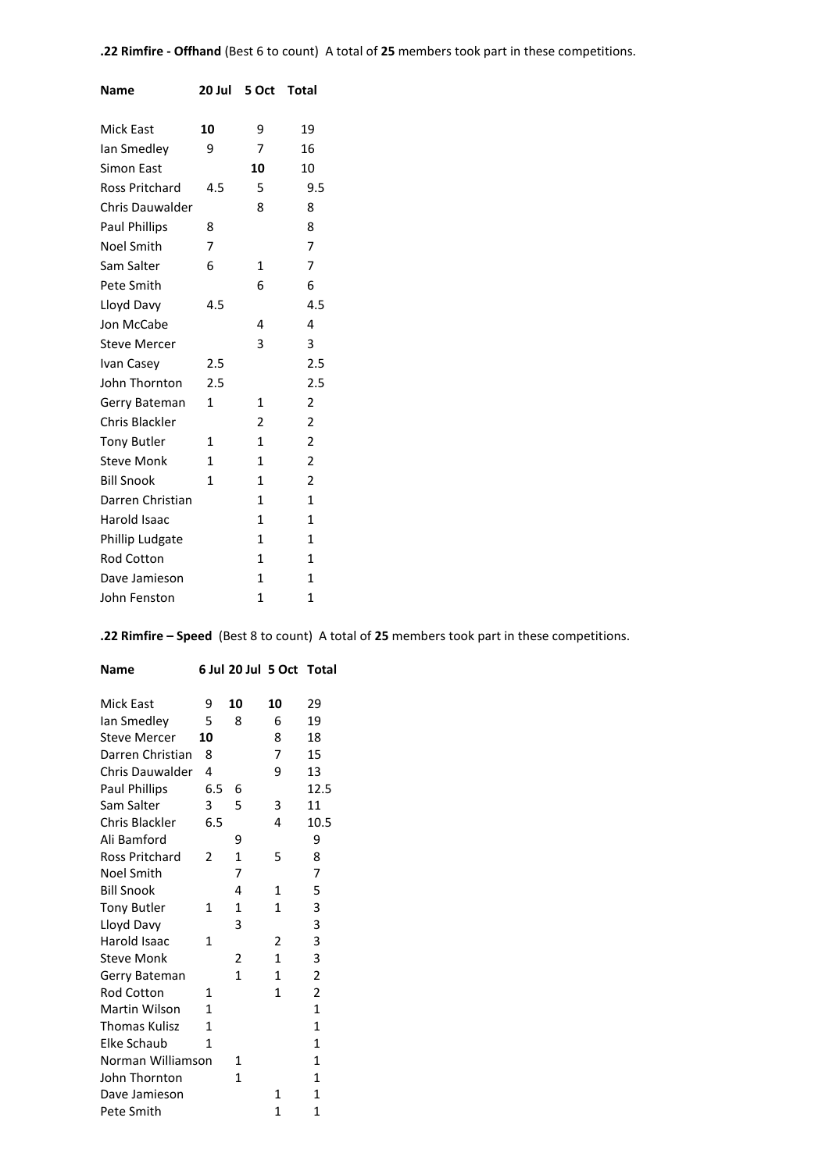| <b>Name</b>            | 20 Jul       | 5 Oct        | Total                   |
|------------------------|--------------|--------------|-------------------------|
| <b>Mick East</b>       | 10           | 9            | 19                      |
| lan Smedley            | ٩            | 7            | 16                      |
| Simon East             |              | 10           | 10                      |
| Ross Pritchard         | 4.5          | 5            | 9.5                     |
| <b>Chris Dauwalder</b> |              | 8            | 8                       |
| Paul Phillips          | 8            |              | 8                       |
| <b>Noel Smith</b>      | 7            |              | 7                       |
| Sam Salter             | 6            | $\mathbf{1}$ | 7                       |
| Pete Smith             |              | 6            | 6                       |
| Lloyd Davy             | 4.5          |              | 4.5                     |
| Jon McCabe             |              | 4            | 4                       |
| <b>Steve Mercer</b>    |              | 3            | 3                       |
| Ivan Casey             | 2.5          |              | 2.5                     |
| John Thornton          | 2.5          |              | 2.5                     |
| Gerry Bateman          | $\mathbf{1}$ | 1            | 2                       |
| Chris Blackler         |              | 2            | 2                       |
| <b>Tony Butler</b>     | 1            | 1            | 2                       |
| <b>Steve Monk</b>      | $\mathbf{1}$ | $\mathbf{1}$ | $\overline{\mathbf{c}}$ |
| <b>Bill Snook</b>      | 1            | $\mathbf{1}$ | 2                       |
| Darren Christian       |              | $\mathbf{1}$ | $\mathbf{1}$            |
| Harold Isaac           |              | $\mathbf{1}$ | $\mathbf{1}$            |
| Phillip Ludgate        |              | $\mathbf{1}$ | 1                       |
| <b>Rod Cotton</b>      |              | 1            | $\mathbf{1}$            |
| Dave Jamieson          |              | $\mathbf{1}$ | $\mathbf{1}$            |
| John Fenston           |              | 1            | $\mathbf{1}$            |

**.22 Rimfire – Speed** (Best 8 to count) A total of **25** members took part in these competitions.

| Name                   |                          | 6 Jul 20 Jul 5 Oct Total |                |              |
|------------------------|--------------------------|--------------------------|----------------|--------------|
| <b>Mick East</b>       | 9                        | 10                       | 10             | 29           |
| lan Smedley            | 5                        | 8                        | 6              | 19           |
| <b>Steve Mercer</b>    | 10                       |                          | 8              | 18           |
| Darren Christian       | 8                        |                          | 7              | 15           |
|                        |                          |                          |                |              |
| <b>Chris Dauwalder</b> | 4                        |                          | 9              | 13           |
| <b>Paul Phillips</b>   | 6.5                      | 6                        |                | 12.5         |
| Sam Salter             | 3                        | 5                        | 3              | 11           |
| Chris Blackler         | 6.5                      |                          | 4              | 10.5         |
| Ali Bamford            |                          | 9                        |                | 9            |
| <b>Ross Pritchard</b>  | $\overline{\phantom{a}}$ | $\mathbf{1}$             | 5              | 8            |
| Noel Smith             |                          | 7                        |                | 7            |
| <b>Bill Snook</b>      |                          | 4                        | $\mathbf{1}$   | 5            |
| <b>Tony Butler</b>     | $\mathbf{1}$             | $\mathbf{1}$             | $\mathbf{1}$   | 3            |
| Lloyd Davy             |                          | 3                        |                | 3            |
| Harold Isaac           | 1                        |                          | $\overline{2}$ | 3            |
| <b>Steve Monk</b>      |                          | 2                        | 1              | 3            |
| Gerry Bateman          |                          | $\mathbf{1}$             | $\mathbf{1}$   | 2            |
| <b>Rod Cotton</b>      | 1                        |                          | 1              | 2            |
| Martin Wilson          | 1                        |                          |                | $\mathbf{1}$ |
| <b>Thomas Kulisz</b>   | 1                        |                          |                | $\mathbf{1}$ |
| Elke Schaub            | 1                        |                          |                | $\mathbf{1}$ |
| Norman Williamson      |                          | 1                        |                | 1            |
| John Thornton          |                          | $\mathbf{1}$             |                | $\mathbf{1}$ |
| Dave Jamieson          |                          |                          | 1              | 1            |
| Pete Smith             |                          |                          | 1              | 1            |